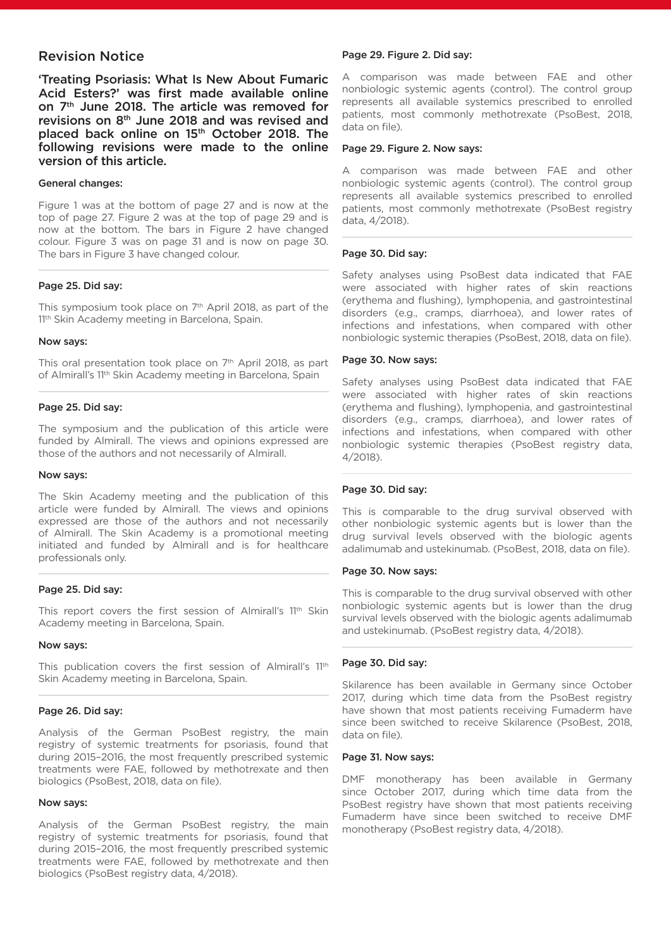# Revision Notice

'Treating Psoriasis: What Is New About Fumaric Acid Esters?' was first made available online on 7th June 2018. The article was removed for revisions on 8th June 2018 and was revised and placed back online on 15<sup>th</sup> October 2018. The following revisions were made to the online version of this article.

## General changes:

Figure 1 was at the bottom of page 27 and is now at the top of page 27. Figure 2 was at the top of page 29 and is now at the bottom. The bars in Figure 2 have changed colour. Figure 3 was on page 31 and is now on page 30. The bars in Figure 3 have changed colour.

## Page 25. Did say:

This symposium took place on 7<sup>th</sup> April 2018, as part of the 11<sup>th</sup> Skin Academy meeting in Barcelona, Spain.

## Now says:

This oral presentation took place on 7<sup>th</sup> April 2018, as part of Almirall's 11<sup>th</sup> Skin Academy meeting in Barcelona, Spain

## Page 25. Did say:

The symposium and the publication of this article were funded by Almirall. The views and opinions expressed are those of the authors and not necessarily of Almirall.

### Now says:

The Skin Academy meeting and the publication of this article were funded by Almirall. The views and opinions expressed are those of the authors and not necessarily of Almirall. The Skin Academy is a promotional meeting initiated and funded by Almirall and is for healthcare professionals only.

## Page 25. Did say:

This report covers the first session of Almirall's 11th Skin Academy meeting in Barcelona, Spain.

### Now says:

This publication covers the first session of Almirall's 11th Skin Academy meeting in Barcelona, Spain.

## Page 26. Did say:

Analysis of the German PsoBest registry, the main registry of systemic treatments for psoriasis, found that during 2015–2016, the most frequently prescribed systemic treatments were FAE, followed by methotrexate and then biologics (PsoBest, 2018, data on file).

## Now says:

Analysis of the German PsoBest registry, the main registry of systemic treatments for psoriasis, found that during 2015–2016, the most frequently prescribed systemic treatments were FAE, followed by methotrexate and then biologics (PsoBest registry data, 4/2018).

# Page 29. Figure 2. Did say:

A comparison was made between FAE and other nonbiologic systemic agents (control). The control group represents all available systemics prescribed to enrolled patients, most commonly methotrexate (PsoBest, 2018, data on file).

# Page 29. Figure 2. Now says:

A comparison was made between FAE and other nonbiologic systemic agents (control). The control group represents all available systemics prescribed to enrolled patients, most commonly methotrexate (PsoBest registry data, 4/2018).

# Page 30. Did say:

Safety analyses using PsoBest data indicated that FAE were associated with higher rates of skin reactions (erythema and flushing), lymphopenia, and gastrointestinal disorders (e.g., cramps, diarrhoea), and lower rates of infections and infestations, when compared with other nonbiologic systemic therapies (PsoBest, 2018, data on file).

## Page 30. Now says:

Safety analyses using PsoBest data indicated that FAE were associated with higher rates of skin reactions (erythema and flushing), lymphopenia, and gastrointestinal disorders (e.g., cramps, diarrhoea), and lower rates of infections and infestations, when compared with other nonbiologic systemic therapies (PsoBest registry data, 4/2018).

## Page 30. Did say:

This is comparable to the drug survival observed with other nonbiologic systemic agents but is lower than the drug survival levels observed with the biologic agents adalimumab and ustekinumab. (PsoBest, 2018, data on file).

## Page 30. Now says:

This is comparable to the drug survival observed with other nonbiologic systemic agents but is lower than the drug survival levels observed with the biologic agents adalimumab and ustekinumab. (PsoBest registry data, 4/2018).

## Page 30. Did say:

Skilarence has been available in Germany since October 2017, during which time data from the PsoBest registry have shown that most patients receiving Fumaderm have since been switched to receive Skilarence (PsoBest, 2018, data on file).

### Page 31. Now says:

DMF monotherapy has been available in Germany since October 2017, during which time data from the PsoBest registry have shown that most patients receiving Fumaderm have since been switched to receive DMF monotherapy (PsoBest registry data, 4/2018).